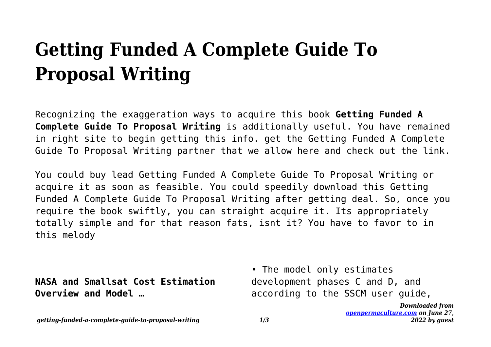# **Getting Funded A Complete Guide To Proposal Writing**

Recognizing the exaggeration ways to acquire this book **Getting Funded A Complete Guide To Proposal Writing** is additionally useful. You have remained in right site to begin getting this info. get the Getting Funded A Complete Guide To Proposal Writing partner that we allow here and check out the link.

You could buy lead Getting Funded A Complete Guide To Proposal Writing or acquire it as soon as feasible. You could speedily download this Getting Funded A Complete Guide To Proposal Writing after getting deal. So, once you require the book swiftly, you can straight acquire it. Its appropriately totally simple and for that reason fats, isnt it? You have to favor to in this melody

**NASA and Smallsat Cost Estimation Overview and Model …**

• The model only estimates development phases C and D, and according to the SSCM user guide,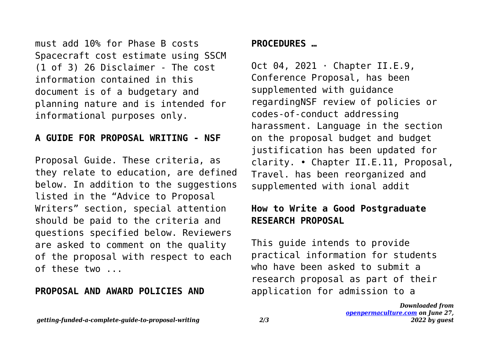must add 10% for Phase B costs Spacecraft cost estimate using SSCM (1 of 3) 26 Disclaimer - The cost information contained in this document is of a budgetary and planning nature and is intended for informational purposes only.

#### **A GUIDE FOR PROPOSAL WRITING - NSF**

Proposal Guide. These criteria, as they relate to education, are defined below. In addition to the suggestions listed in the "Advice to Proposal Writers" section, special attention should be paid to the criteria and questions specified below. Reviewers are asked to comment on the quality of the proposal with respect to each of these two ...

#### **PROPOSAL AND AWARD POLICIES AND**

## **PROCEDURES …**

Oct 04, 2021 · Chapter II.E.9, Conference Proposal, has been supplemented with guidance regardingNSF review of policies or codes-of-conduct addressing harassment. Language in the section on the proposal budget and budget justification has been updated for clarity. • Chapter II.E.11, Proposal, Travel. has been reorganized and supplemented with ional addit

## **How to Write a Good Postgraduate RESEARCH PROPOSAL**

This guide intends to provide practical information for students who have been asked to submit a research proposal as part of their application for admission to a